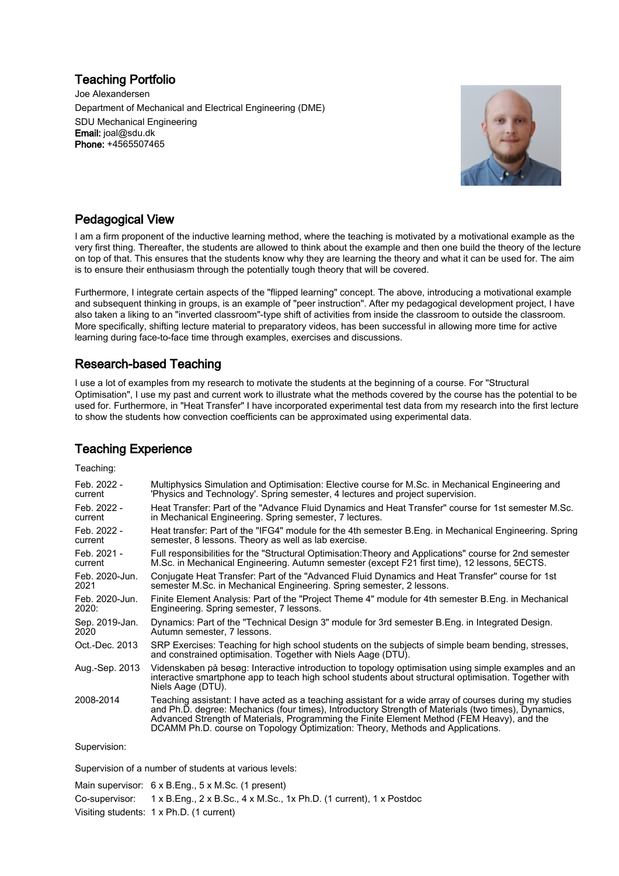### Teaching Portfolio

Joe Alexandersen Department of Mechanical and Electrical Engineering (DME) SDU Mechanical Engineering Email: joal@sdu.dk Phone: +4565507465



### Pedagogical View

I am a firm proponent of the inductive learning method, where the teaching is motivated by a motivational example as the very first thing. Thereafter, the students are allowed to think about the example and then one build the theory of the lecture on top of that. This ensures that the students know why they are learning the theory and what it can be used for. The aim is to ensure their enthusiasm through the potentially tough theory that will be covered.

Furthermore, I integrate certain aspects of the "flipped learning" concept. The above, introducing a motivational example and subsequent thinking in groups, is an example of "peer instruction". After my pedagogical development project, I have also taken a liking to an "inverted classroom"-type shift of activities from inside the classroom to outside the classroom. More specifically, shifting lecture material to preparatory videos, has been successful in allowing more time for active learning during face-to-face time through examples, exercises and discussions.

# Research-based Teaching

I use a lot of examples from my research to motivate the students at the beginning of a course. For "Structural Optimisation", I use my past and current work to illustrate what the methods covered by the course has the potential to be used for. Furthermore, in "Heat Transfer" I have incorporated experimental test data from my research into the first lecture to show the students how convection coefficients can be approximated using experimental data.

## Teaching Experience

| Teaching:      |                                                                                                                                                                                                                                                                                                                                                                                               |
|----------------|-----------------------------------------------------------------------------------------------------------------------------------------------------------------------------------------------------------------------------------------------------------------------------------------------------------------------------------------------------------------------------------------------|
| Feb. 2022 -    | Multiphysics Simulation and Optimisation: Elective course for M.Sc. in Mechanical Engineering and                                                                                                                                                                                                                                                                                             |
| current        | 'Physics and Technology'. Spring semester, 4 lectures and project supervision.                                                                                                                                                                                                                                                                                                                |
| Feb. 2022 -    | Heat Transfer: Part of the "Advance Fluid Dynamics and Heat Transfer" course for 1st semester M.Sc.                                                                                                                                                                                                                                                                                           |
| current        | in Mechanical Engineering. Spring semester, 7 lectures.                                                                                                                                                                                                                                                                                                                                       |
| Feb. 2022 -    | Heat transfer: Part of the "IFG4" module for the 4th semester B.Eng. in Mechanical Engineering. Spring                                                                                                                                                                                                                                                                                        |
| current        | semester, 8 lessons. Theory as well as lab exercise.                                                                                                                                                                                                                                                                                                                                          |
| Feb. 2021 -    | Full responsibilities for the "Structural Optimisation: Theory and Applications" course for 2nd semester                                                                                                                                                                                                                                                                                      |
| current        | M.Sc. in Mechanical Engineering. Autumn semester (except F21 first time), 12 lessons, 5ECTS.                                                                                                                                                                                                                                                                                                  |
| Feb. 2020-Jun. | Conjugate Heat Transfer: Part of the "Advanced Fluid Dynamics and Heat Transfer" course for 1st                                                                                                                                                                                                                                                                                               |
| 2021           | semester M.Sc. in Mechanical Engineering. Spring semester, 2 lessons.                                                                                                                                                                                                                                                                                                                         |
| Feb. 2020-Jun. | Finite Element Analysis: Part of the "Project Theme 4" module for 4th semester B.Eng. in Mechanical                                                                                                                                                                                                                                                                                           |
| 2020:          | Engineering. Spring semester, 7 lessons.                                                                                                                                                                                                                                                                                                                                                      |
| Sep. 2019-Jan. | Dynamics: Part of the "Technical Design 3" module for 3rd semester B. Eng. in Integrated Design.                                                                                                                                                                                                                                                                                              |
| 2020           | Autumn semester, 7 lessons.                                                                                                                                                                                                                                                                                                                                                                   |
| Oct.-Dec. 2013 | SRP Exercises: Teaching for high school students on the subjects of simple beam bending, stresses,<br>and constrained optimisation. Together with Niels Aage (DTU).                                                                                                                                                                                                                           |
| Aug.-Sep. 2013 | Videnskaben på besøg: Interactive introduction to topology optimisation using simple examples and an<br>interactive smartphone app to teach high school students about structural optimisation. Together with<br>Niels Aage (DTU).                                                                                                                                                            |
| 2008-2014      | Teaching assistant: I have acted as a teaching assistant for a wide array of courses during my studies<br>and Ph.D. degree: Mechanics (four times), Introductory Strength of Materials (two times), Dynamics,<br>Advanced Strength of Materials, Programming the Finite Element Method (FEM Heavy), and the<br>DCAMM Ph.D. course on Topology Optimization: Theory, Methods and Applications. |
| Supervision:   |                                                                                                                                                                                                                                                                                                                                                                                               |

Supervision of a number of students at various levels:

| Main supervisor: $6 \times B$ . Eng., $5 \times M$ . Sc. (1 present)                                                            |
|---------------------------------------------------------------------------------------------------------------------------------|
| Co-supervisor: $1 \times B$ . Eng., $2 \times B$ . Sc., $4 \times M$ . Sc., $1 \times P$ h. D. (1 current), $1 \times P$ ostdoc |
| Visiting students: 1 x Ph.D. (1 current)                                                                                        |